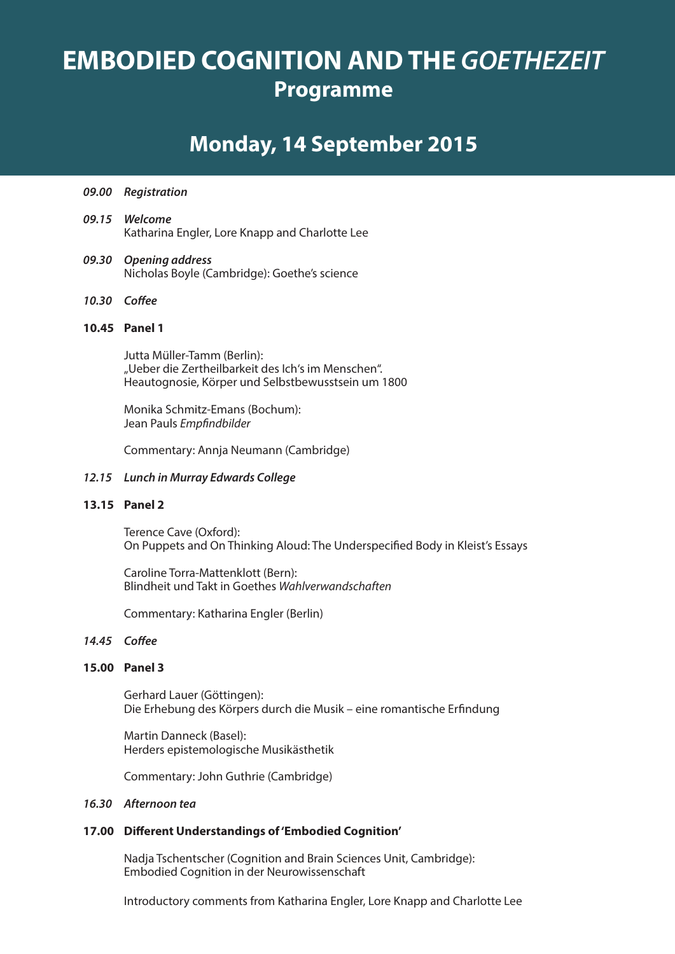# **EMBODIED COGNITION AND THE** *GOETHEZEIT* **Programme**

### **Monday, 14 September 2015**

- *09.00 Registration*
- *09.15 Welcome* Katharina Engler, Lore Knapp and Charlotte Lee
- *09.30 Opening address* Nicholas Boyle (Cambridge): Goethe's science
- *10.30 Coffee*

### **10.45 Panel 1**

Jutta Müller-Tamm (Berlin): "Ueber die Zertheilbarkeit des Ich's im Menschen". Heautognosie, Körper und Selbstbewusstsein um 1800

Monika Schmitz-Emans (Bochum): Jean Pauls *Empfindbilder* 

Commentary: Annja Neumann (Cambridge)

### *12.15 Lunch in Murray Edwards College*

### **13.15 Panel 2**

Terence Cave (Oxford): On Puppets and On Thinking Aloud: The Underspecified Body in Kleist's Essays

Caroline Torra-Mattenklott (Bern): Blindheit und Takt in Goethes *Wahlverwandschaften*

Commentary: Katharina Engler (Berlin)

### *14.45 Coffee*

### **15.00 Panel 3**

Gerhard Lauer (Göttingen): Die Erhebung des Körpers durch die Musik – eine romantische Erfindung

Martin Danneck (Basel): Herders epistemologische Musikästhetik

Commentary: John Guthrie (Cambridge)

#### *16.30 Afternoon tea*

### **17.00 Different Understandings of 'Embodied Cognition'**

Nadja Tschentscher (Cognition and Brain Sciences Unit, Cambridge): Embodied Cognition in der Neurowissenschaft

Introductory comments from Katharina Engler, Lore Knapp and Charlotte Lee